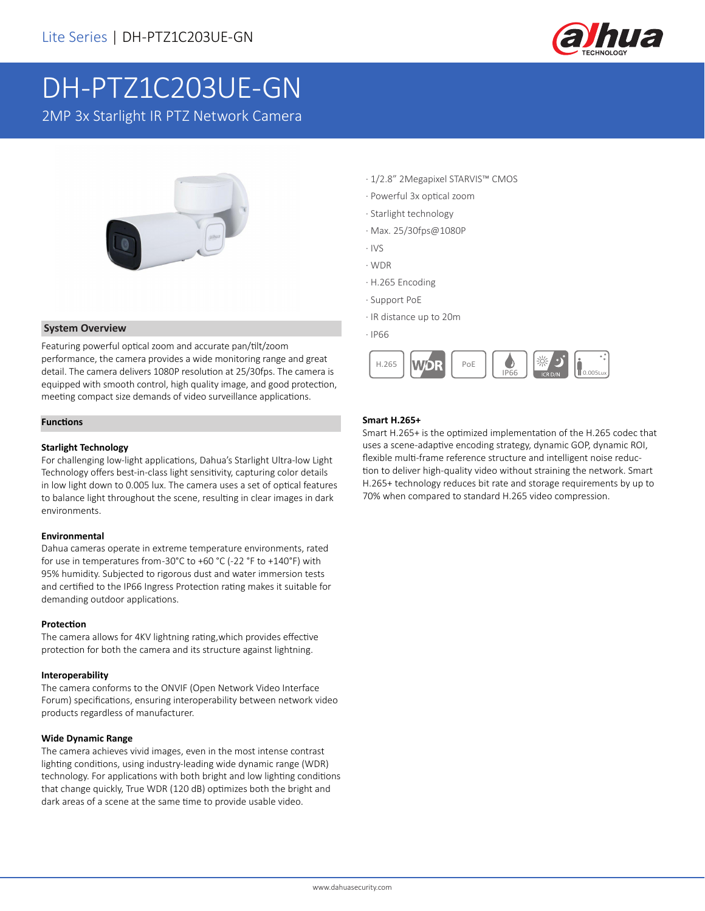

# DH-PTZ1C203UE-GN

2MP 3x Starlight IR PTZ Network Camera



#### **System Overview**

Featuring powerful optical zoom and accurate pan/tilt/zoom performance, the camera provides a wide monitoring range and great detail. The camera delivers 1080P resolution at 25/30fps. The camera is equipped with smooth control, high quality image, and good protection, meeting compact size demands of video surveillance applications.

#### **Functions**

#### **Starlight Technology**

For challenging low-light applications, Dahua's Starlight Ultra-low Light Technology offers best-in-class light sensitivity, capturing color details in low light down to 0.005 lux. The camera uses a set of optical features to balance light throughout the scene, resulting in clear images in dark environments.

#### **Environmental**

Dahua cameras operate in extreme temperature environments, rated for use in temperatures from -30°C to +60 °C (-22 °F to +140°F) with 95% humidity. Subjected to rigorous dust and water immersion tests and certified to the IP66 Ingress Protection rating makes it suitable for demanding outdoor applications.

#### **Protection**

The camera allows for 4KV lightning rating,which provides effective protection for both the camera and its structure against lightning.

#### **Interoperability**

The camera conforms to the ONVIF (Open Network Video Interface Forum) specifications, ensuring interoperability between network video products regardless of manufacturer.

#### **Wide Dynamic Range**

The camera achieves vivid images, even in the most intense contrast lighting conditions, using industry-leading wide dynamic range (WDR) technology. For applications with both bright and low lighting conditions that change quickly, True WDR (120 dB) optimizes both the bright and dark areas of a scene at the same time to provide usable video.

- · 1/2.8" 2Megapixel STARVIS™ CMOS
- · Powerful 3x optical zoom
- · Starlight technology
- · Max. 25/30fps@1080P
- · IVS
- · WDR
- · H.265 Encoding
- · Support PoE
- · IR distance up to 20m
- · IP66



#### **Smart H.265+**

Smart H.265+ is the optimized implementation of the H.265 codec that uses a scene-adaptive encoding strategy, dynamic GOP, dynamic ROI, flexible multi-frame reference structure and intelligent noise reduction to deliver high-quality video without straining the network. Smart H.265+ technology reduces bit rate and storage requirements by up to 70% when compared to standard H.265 video compression.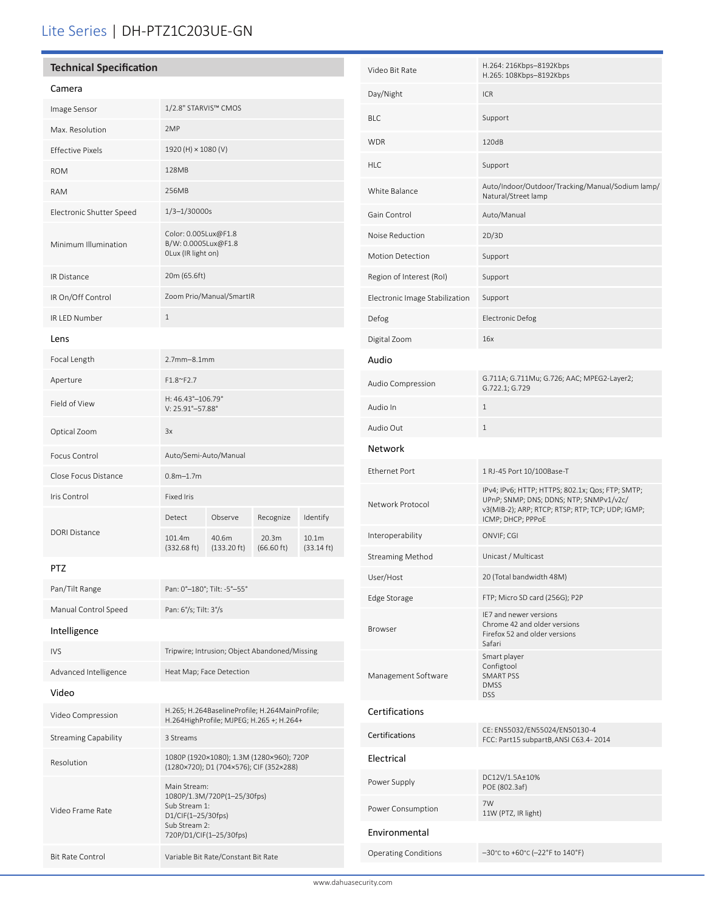## Lite Series | DH-PTZ1C203UE-GN

| <b>Technical Specification</b>                                    |                                                                                     |                                |                     | Video Bit Rate                | H.264: 216Kbps-8192Kbps<br>H.265: 108Kbps-8192Kbps |                                |                                                                                                   |
|-------------------------------------------------------------------|-------------------------------------------------------------------------------------|--------------------------------|---------------------|-------------------------------|----------------------------------------------------|--------------------------------|---------------------------------------------------------------------------------------------------|
| Camera                                                            |                                                                                     |                                |                     |                               |                                                    | Day/Night                      | ICR                                                                                               |
| Image Sensor                                                      | 1/2.8" STARVIS™ CMOS                                                                |                                |                     |                               |                                                    | <b>BLC</b>                     | Support                                                                                           |
| Max. Resolution                                                   | 2MP                                                                                 |                                |                     |                               |                                                    |                                |                                                                                                   |
| <b>Effective Pixels</b>                                           | 1920 (H) × 1080 (V)                                                                 |                                |                     |                               |                                                    | <b>WDR</b>                     | 120dB                                                                                             |
| <b>ROM</b>                                                        | 128MB                                                                               |                                |                     |                               |                                                    | <b>HLC</b>                     | Support                                                                                           |
| RAM                                                               | 256MB                                                                               |                                |                     |                               |                                                    | White Balance                  | Auto/Indoor/Outdoor/Tracking/Manual/Sodium lamp/<br>Natural/Street lamp                           |
| Electronic Shutter Speed                                          | $1/3 - 1/30000s$                                                                    |                                |                     |                               |                                                    | Gain Control                   | Auto/Manual                                                                                       |
|                                                                   | Color: 0.005Lux@F1.8                                                                |                                |                     |                               | Noise Reduction                                    | 2D/3D                          |                                                                                                   |
| B/W: 0.0005Lux@F1.8<br>Minimum Illumination<br>OLux (IR light on) |                                                                                     |                                |                     | <b>Motion Detection</b>       | Support                                            |                                |                                                                                                   |
| IR Distance                                                       | 20m (65.6ft)                                                                        |                                |                     |                               |                                                    | Region of Interest (RoI)       | Support                                                                                           |
| IR On/Off Control                                                 |                                                                                     | Zoom Prio/Manual/SmartIR       |                     |                               |                                                    | Electronic Image Stabilization | Support                                                                                           |
| IR LED Number                                                     | $\mathbf{1}$                                                                        |                                |                     |                               | Defog                                              | <b>Electronic Defog</b>        |                                                                                                   |
| Lens                                                              |                                                                                     |                                |                     |                               | Digital Zoom                                       | 16x                            |                                                                                                   |
| Focal Length                                                      | 2.7mm-8.1mm                                                                         |                                |                     |                               |                                                    | Audio                          |                                                                                                   |
| Aperture                                                          | F1.8~F2.7                                                                           |                                |                     |                               |                                                    | Audio Compression              | G.711A; G.711Mu; G.726; AAC; MPEG2-Layer2;<br>G.722.1; G.729                                      |
| Field of View                                                     | H: 46.43°-106.79°<br>V: 25.91°-57.88°                                               |                                |                     |                               |                                                    | Audio In                       | $\mathbf{1}$                                                                                      |
| Optical Zoom                                                      | 3x                                                                                  |                                |                     |                               |                                                    | Audio Out                      | $\mathbf{1}$                                                                                      |
| Focus Control                                                     | Auto/Semi-Auto/Manual                                                               |                                |                     |                               |                                                    | Network                        |                                                                                                   |
| Close Focus Distance                                              | $0.8m - 1.7m$                                                                       |                                |                     |                               |                                                    | <b>Ethernet Port</b>           | 1 RJ-45 Port 10/100Base-T                                                                         |
| Iris Control                                                      | <b>Fixed Iris</b>                                                                   |                                |                     |                               |                                                    |                                | IPv4; IPv6; HTTP; HTTPS; 802.1x; Qos; FTP; SMTP;<br>UPnP; SNMP; DNS; DDNS; NTP; SNMPv1/v2c/       |
|                                                                   | Detect                                                                              | Observe                        | Recognize           | Identify                      |                                                    | Network Protocol               | v3(MIB-2); ARP; RTCP; RTSP; RTP; TCP; UDP; IGMP;<br>ICMP; DHCP; PPPoE                             |
| DORI Distance                                                     | 101.4m<br>(332.68 ft)                                                               | 40.6m<br>$(133.20 \text{ ft})$ | 20.3m<br>(66.60 ft) | 10.1m<br>$(33.14 \text{ ft})$ |                                                    | Interoperability               | ONVIF; CGI                                                                                        |
| PTZ                                                               |                                                                                     |                                |                     |                               |                                                    | <b>Streaming Method</b>        | Unicast / Multicast                                                                               |
| Pan/Tilt Range                                                    | Pan: 0°-180°; Tilt: -5°-55°                                                         |                                |                     |                               | User/Host                                          | 20 (Total bandwidth 48M)       |                                                                                                   |
| Manual Control Speed                                              | Pan: 6°/s; Tilt: 3°/s                                                               |                                |                     |                               | Edge Storage                                       | FTP; Micro SD card (256G); P2P |                                                                                                   |
| Intelligence                                                      |                                                                                     |                                |                     |                               |                                                    | <b>Browser</b>                 | IE7 and newer versions<br>Chrome 42 and older versions<br>Firefox 52 and older versions<br>Safari |
| <b>IVS</b>                                                        | Tripwire; Intrusion; Object Abandoned/Missing                                       |                                |                     |                               |                                                    | Management Software            | Smart player<br>Configtool<br>SMART PSS<br><b>DMSS</b>                                            |
| Advanced Intelligence<br>Video                                    | Heat Map; Face Detection                                                            |                                |                     |                               |                                                    |                                |                                                                                                   |
| Video Compression                                                 | H.265; H.264BaselineProfile; H.264MainProfile;                                      |                                |                     |                               |                                                    | Certifications                 | <b>DSS</b>                                                                                        |
|                                                                   | H.264HighProfile; MJPEG; H.265 +; H.264+                                            |                                |                     |                               |                                                    | Certifications                 | CE: EN55032/EN55024/EN50130-4                                                                     |
| <b>Streaming Capability</b>                                       | 3 Streams                                                                           |                                |                     |                               |                                                    |                                | FCC: Part15 subpartB, ANSI C63.4-2014                                                             |
| Resolution                                                        | 1080P (1920×1080); 1.3M (1280×960); 720P<br>(1280×720); D1 (704×576); CIF (352×288) |                                |                     |                               |                                                    | Electrical                     | DC12V/1.5A±10%                                                                                    |
|                                                                   | Main Stream:<br>1080P/1.3M/720P(1-25/30fps)<br>Sub Stream 1:<br>D1/CIF(1-25/30fps)  |                                |                     |                               |                                                    | Power Supply                   | POE (802.3af)                                                                                     |
| Video Frame Rate                                                  |                                                                                     |                                |                     |                               |                                                    | Power Consumption              | 7W<br>11W (PTZ, IR light)                                                                         |
|                                                                   | Sub Stream 2:<br>720P/D1/CIF(1-25/30fps)                                            |                                |                     |                               | Environmental                                      |                                |                                                                                                   |
| <b>Bit Rate Control</b>                                           | Variable Bit Rate/Constant Bit Rate                                                 |                                |                     |                               |                                                    | <b>Operating Conditions</b>    | $-30^{\circ}$ C to +60 $^{\circ}$ C (-22 $^{\circ}$ F to 140 $^{\circ}$ F)                        |